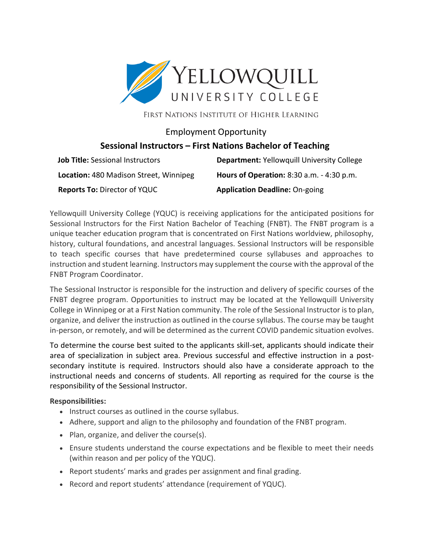

FIRST NATIONS INSTITUTE OF HIGHER LEARNING

## Employment Opportunity **Sessional Instructors – First Nations Bachelor of Teaching**

| <b>Job Title: Sessional Instructors</b> | <b>Department: Yellowquill University College</b> |
|-----------------------------------------|---------------------------------------------------|
| Location: 480 Madison Street, Winnipeg  | <b>Hours of Operation:</b> 8:30 a.m. - 4:30 p.m.  |
| <b>Reports To: Director of YQUC</b>     | <b>Application Deadline: On-going</b>             |

Yellowquill University College (YQUC) is receiving applications for the anticipated positions for Sessional Instructors for the First Nation Bachelor of Teaching (FNBT). The FNBT program is a unique teacher education program that is concentrated on First Nations worldview, philosophy, history, cultural foundations, and ancestral languages. Sessional Instructors will be responsible to teach specific courses that have predetermined course syllabuses and approaches to instruction and student learning. Instructors may supplement the course with the approval of the FNBT Program Coordinator.

The Sessional Instructor is responsible for the instruction and delivery of specific courses of the FNBT degree program. Opportunities to instruct may be located at the Yellowquill University College in Winnipeg or at a First Nation community. The role of the Sessional Instructor is to plan, organize, and deliver the instruction as outlined in the course syllabus. The course may be taught in-person, or remotely, and will be determined as the current COVID pandemic situation evolves.

To determine the course best suited to the applicants skill-set, applicants should indicate their area of specialization in subject area. Previous successful and effective instruction in a postsecondary institute is required. Instructors should also have a considerate approach to the instructional needs and concerns of students. All reporting as required for the course is the responsibility of the Sessional Instructor.

## **Responsibilities:**

- Instruct courses as outlined in the course syllabus.
- Adhere, support and align to the philosophy and foundation of the FNBT program.
- Plan, organize, and deliver the course(s).
- Ensure students understand the course expectations and be flexible to meet their needs (within reason and per policy of the YQUC).
- Report students' marks and grades per assignment and final grading.
- Record and report students' attendance (requirement of YQUC).